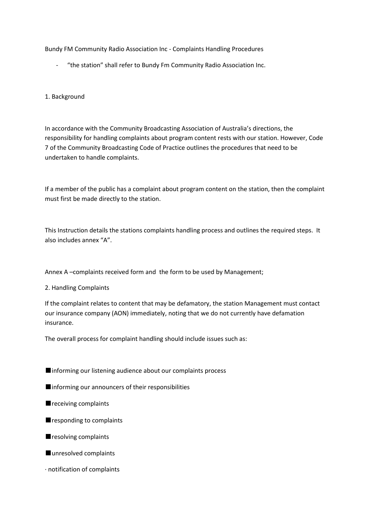Bundy FM Community Radio Association Inc - Complaints Handling Procedures

- "the station" shall refer to Bundy Fm Community Radio Association Inc.

## 1. Background

In accordance with the Community Broadcasting Association of Australia's directions, the responsibility for handling complaints about program content rests with our station. However, Code 7 of the Community Broadcasting Code of Practice outlines the procedures that need to be undertaken to handle complaints.

If a member of the public has a complaint about program content on the station, then the complaint must first be made directly to the station.

This Instruction details the stations complaints handling process and outlines the required steps. It also includes annex "A".

Annex A –complaints received form and the form to be used by Management;

2. Handling Complaints

If the complaint relates to content that may be defamatory, the station Management must contact our insurance company (AON) immediately, noting that we do not currently have defamation insurance.

The overall process for complaint handling should include issues such as:

- ■informing our listening audience about our complaints process
- ■informing our announcers of their responsibilities
- receiving complaints
- responding to complaints
- resolving complaints
- unresolved complaints
- · notification of complaints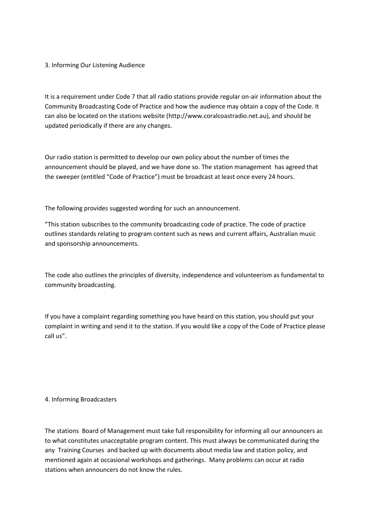# 3. Informing Our Listening Audience

It is a requirement under Code 7 that all radio stations provide regular on-air information about the Community Broadcasting Code of Practice and how the audience may obtain a copy of the Code. It can also be located on the stations website (http://www.coralcoastradio.net.au), and should be updated periodically if there are any changes.

Our radio station is permitted to develop our own policy about the number of times the announcement should be played, and we have done so. The station management has agreed that the sweeper (entitled "Code of Practice") must be broadcast at least once every 24 hours.

The following provides suggested wording for such an announcement.

"This station subscribes to the community broadcasting code of practice. The code of practice outlines standards relating to program content such as news and current affairs, Australian music and sponsorship announcements.

The code also outlines the principles of diversity, independence and volunteerism as fundamental to community broadcasting.

If you have a complaint regarding something you have heard on this station, you should put your complaint in writing and send it to the station. If you would like a copy of the Code of Practice please call us".

### 4. Informing Broadcasters

The stations Board of Management must take full responsibility for informing all our announcers as to what constitutes unacceptable program content. This must always be communicated during the any Training Courses and backed up with documents about media law and station policy, and mentioned again at occasional workshops and gatherings. Many problems can occur at radio stations when announcers do not know the rules.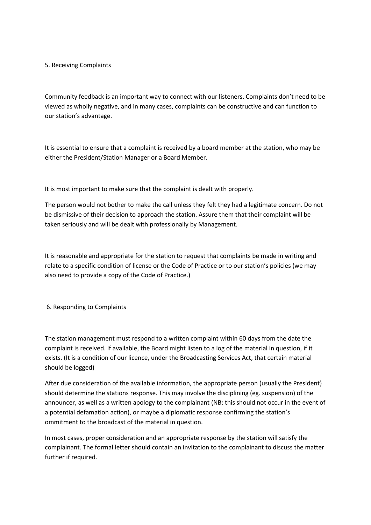# 5. Receiving Complaints

Community feedback is an important way to connect with our listeners. Complaints don't need to be viewed as wholly negative, and in many cases, complaints can be constructive and can function to our station's advantage.

It is essential to ensure that a complaint is received by a board member at the station, who may be either the President/Station Manager or a Board Member.

It is most important to make sure that the complaint is dealt with properly.

The person would not bother to make the call unless they felt they had a legitimate concern. Do not be dismissive of their decision to approach the station. Assure them that their complaint will be taken seriously and will be dealt with professionally by Management.

It is reasonable and appropriate for the station to request that complaints be made in writing and relate to a specific condition of license or the Code of Practice or to our station's policies (we may also need to provide a copy of the Code of Practice.)

6. Responding to Complaints

The station management must respond to a written complaint within 60 days from the date the complaint is received. If available, the Board might listen to a log of the material in question, if it exists. (It is a condition of our licence, under the Broadcasting Services Act, that certain material should be logged)

After due consideration of the available information, the appropriate person (usually the President) should determine the stations response. This may involve the disciplining (eg. suspension) of the announcer, as well as a written apology to the complainant (NB: this should not occur in the event of a potential defamation action), or maybe a diplomatic response confirming the station's ommitment to the broadcast of the material in question.

In most cases, proper consideration and an appropriate response by the station will satisfy the complainant. The formal letter should contain an invitation to the complainant to discuss the matter further if required.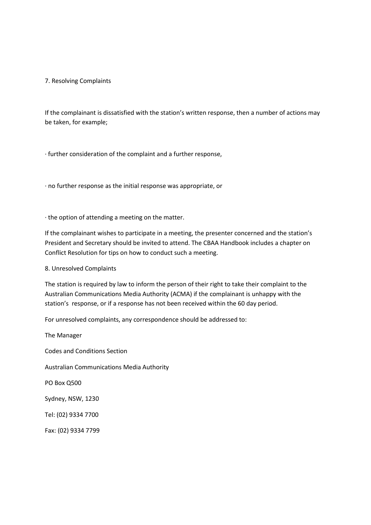# 7. Resolving Complaints

If the complainant is dissatisfied with the station's written response, then a number of actions may be taken, for example;

· further consideration of the complaint and a further response,

· no further response as the initial response was appropriate, or

· the option of attending a meeting on the matter.

If the complainant wishes to participate in a meeting, the presenter concerned and the station's President and Secretary should be invited to attend. The CBAA Handbook includes a chapter on Conflict Resolution for tips on how to conduct such a meeting.

8. Unresolved Complaints

The station is required by law to inform the person of their right to take their complaint to the Australian Communications Media Authority (ACMA) if the complainant is unhappy with the station's response, or if a response has not been received within the 60 day period.

For unresolved complaints, any correspondence should be addressed to:

The Manager Codes and Conditions Section Australian Communications Media Authority PO Box Q500 Sydney, NSW, 1230 Tel: (02) 9334 7700 Fax: (02) 9334 7799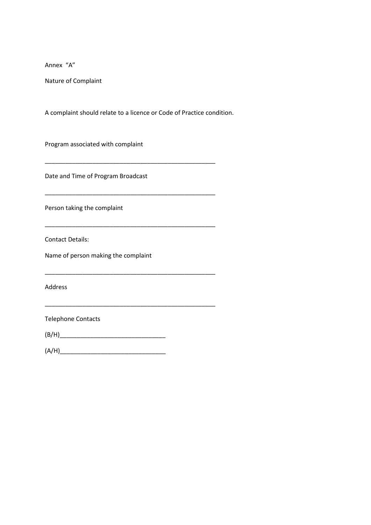Annex "A"

Nature of Complaint

A complaint should relate to a licence or Code of Practice condition.

\_\_\_\_\_\_\_\_\_\_\_\_\_\_\_\_\_\_\_\_\_\_\_\_\_\_\_\_\_\_\_\_\_\_\_\_\_\_\_\_\_\_\_\_\_\_\_\_\_\_

\_\_\_\_\_\_\_\_\_\_\_\_\_\_\_\_\_\_\_\_\_\_\_\_\_\_\_\_\_\_\_\_\_\_\_\_\_\_\_\_\_\_\_\_\_\_\_\_\_\_

\_\_\_\_\_\_\_\_\_\_\_\_\_\_\_\_\_\_\_\_\_\_\_\_\_\_\_\_\_\_\_\_\_\_\_\_\_\_\_\_\_\_\_\_\_\_\_\_\_\_

\_\_\_\_\_\_\_\_\_\_\_\_\_\_\_\_\_\_\_\_\_\_\_\_\_\_\_\_\_\_\_\_\_\_\_\_\_\_\_\_\_\_\_\_\_\_\_\_\_\_

\_\_\_\_\_\_\_\_\_\_\_\_\_\_\_\_\_\_\_\_\_\_\_\_\_\_\_\_\_\_\_\_\_\_\_\_\_\_\_\_\_\_\_\_\_\_\_\_\_\_

Program associated with complaint

Date and Time of Program Broadcast

Person taking the complaint

Contact Details:

Name of person making the complaint

Address

Telephone Contacts

(B/H)\_\_\_\_\_\_\_\_\_\_\_\_\_\_\_\_\_\_\_\_\_\_\_\_\_\_\_\_\_\_\_

(A/H)\_\_\_\_\_\_\_\_\_\_\_\_\_\_\_\_\_\_\_\_\_\_\_\_\_\_\_\_\_\_\_